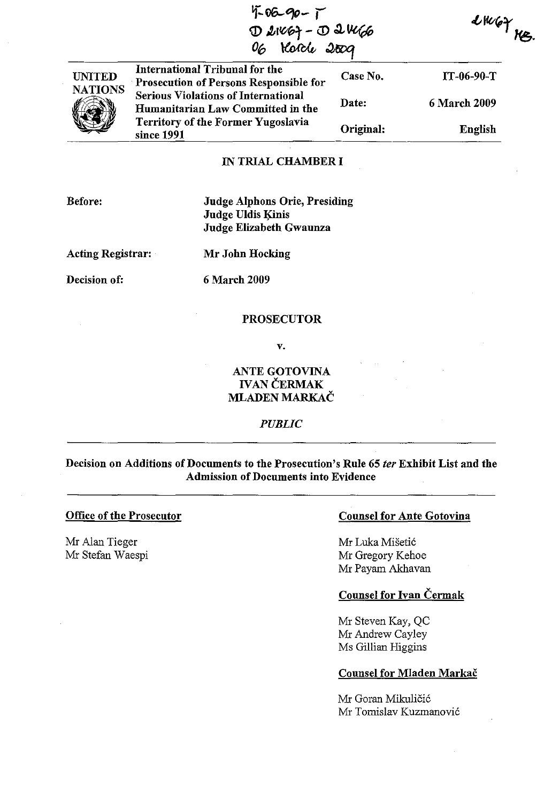| 4-06-90-1<br>D 21467-D 21466<br>06 Horche 2009 |                                                                                 | $LW$ 67<br>KR, |                     |  |
|------------------------------------------------|---------------------------------------------------------------------------------|----------------|---------------------|--|
| <b>UNITED</b>                                  | International Tribunal for the<br>Prosecution of Persons Responsible for        | Case No.       | IT-06-90-T          |  |
| <b>NATIONS</b>                                 | <b>Serious Violations of International</b><br>Humanitarian Law Committed in the | Date:          | <b>6 March 2009</b> |  |
|                                                | <b>Territory of the Former Yugoslavia</b><br>since 1991                         | Original:      | <b>English</b>      |  |

### IN TRIAL CHAMBER I

Before:

## Judge Alphons Orie, Presiding Judge Uldis Kinis Judge Elizabeth Gwaunza

Acting Registrar:

Mr John Hocking

Decision of:

6 March 2009

#### PROSECUTOR

v.

# ANTE GOTOVINA **IVAN ČERMAK** MLADEN MARKAC

*PUBLIC*

# Decision on Additions of Documents to the Prosecution's Rule 65 *ter* Exhibit List and the Admission of Documents into Evidence

## Office of the Prosecutor

Mr Alan Tieger Mr Stefan Waespi

## Counsel for Ante Gotovina

Mr Luka Misetic Mr Gregory Kehoe Mr Payam Akhavan

# Counsel for Ivan Cermak

Mr Steven Kay, QC Mr Andrew Cayley Ms Gillian Higgins

### Counsel for Mladen Markac

Mr Goran Mikuličić Mr Tomislav Kuzmanovic